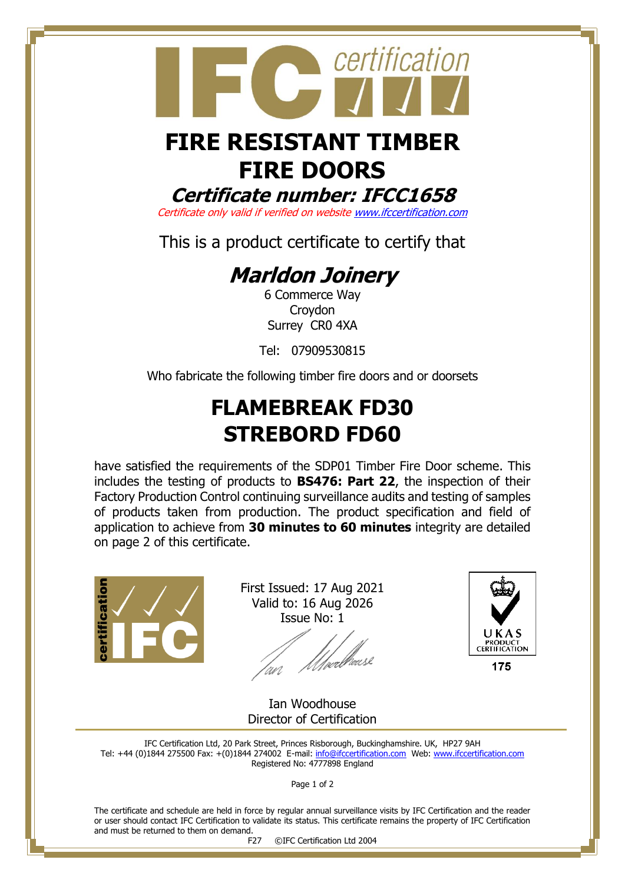

# **FIRE DOORS**

**Certificate number: IFCC1658**

Certificate only valid if verified on websit[e www.ifccertification.com](http://www.ifccertification.com/)

This is a product certificate to certify that

## **Marldon Joinery**

6 Commerce Way Croydon Surrey CR0 4XA

Tel: 07909530815

Who fabricate the following timber fire doors and or doorsets

## **FLAMEBREAK FD30 STREBORD FD60**

have satisfied the requirements of the SDP01 Timber Fire Door scheme. This includes the testing of products to **BS476: Part 22**, the inspection of their Factory Production Control continuing surveillance audits and testing of samples of products taken from production. The product specification and field of application to achieve from **30 minutes to 60 minutes** integrity are detailed on page 2 of this certificate.



First Issued: 17 Aug 2021 Valid to: 16 Aug 2026 Issue No: 1

*Ulve*rbeuse an



Ian Woodhouse Director of Certification

IFC Certification Ltd, 20 Park Street, Princes Risborough, Buckinghamshire. UK, HP27 9AH Tel: +44 (0)1844 275500 Fax: +(0)1844 274002 E-mail[: info@ifccertification.com](mailto:info@ifccertification.com) Web: [www.ifccertification.com](http://www.ifccertification.com/) Registered No: 4777898 England

Page 1 of 2

The certificate and schedule are held in force by regular annual surveillance visits by IFC Certification and the reader or user should contact IFC Certification to validate its status. This certificate remains the property of IFC Certification and must be returned to them on demand.

F27 ©IFC Certification Ltd 2004